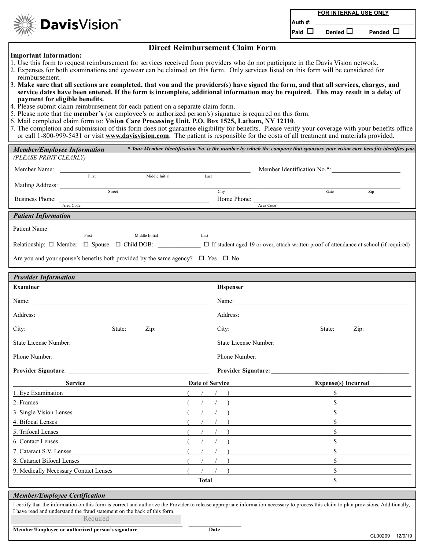**FOR INTERNAL USE ONLY**

**Auth #: \_\_\_\_\_\_\_\_\_\_\_\_\_\_\_\_\_\_\_\_\_\_\_\_\_\_\_\_\_\_\_\_** 

**Paid D** Denied **□** Pended □



## **Direct Reimbursement Claim Form**

## **Important Information:**

- 1. Use this form to request reimbursement for services received from providers who do not participate in the Davis Vision network.
- 2. Expenses for both examinations and eyewear can be claimed on this form. Only services listed on this form will be considered for reimbursement.
- 3. **Make sure that all sections are completed, that you and the providers(s) have signed the form, and that all services, charges, and service dates have been entered. If the form is incomplete, additional information may be required. This may result in a delay of payment for eligible benefits.**
- 4. Please submit claim reimbursement for each patient on a separate claim form.
- 5. Please note that the **member's** (or employee's or authorized person's) signature is required on this form.
- 6. Mail completed claim form to: **Vision Care Processing Unit, P.O. Box 1525, Latham, NY 12110**.
- 7. The completion and submission of this form does not guarantee eligibility for benefits. Please verify your coverage with your benefits office or call 1-800-999-5431 or visit **www.davisvision.com**. The patient is responsible for the costs of all treatment and materials provided.

| <b>Member/Employee Information</b>                                                                                                                                                     |                 |                  | * Your Member Identification No. is the number by which the company that sponsors your vision care benefits identifies you.                                                                                                    |
|----------------------------------------------------------------------------------------------------------------------------------------------------------------------------------------|-----------------|------------------|--------------------------------------------------------------------------------------------------------------------------------------------------------------------------------------------------------------------------------|
| (PLEASE PRINT CLEARLY)                                                                                                                                                                 |                 |                  |                                                                                                                                                                                                                                |
| Member Name:                                                                                                                                                                           |                 |                  | Member Identification No.*:                                                                                                                                                                                                    |
| First<br>Middle Initial                                                                                                                                                                | Last            |                  |                                                                                                                                                                                                                                |
| Street                                                                                                                                                                                 |                 | City             | State<br>Zip                                                                                                                                                                                                                   |
| <b>Business Phone:</b>                                                                                                                                                                 |                 | Home Phone:      |                                                                                                                                                                                                                                |
| Area Code                                                                                                                                                                              |                 |                  | Area Code                                                                                                                                                                                                                      |
| <b>Patient Information</b>                                                                                                                                                             |                 |                  |                                                                                                                                                                                                                                |
| Patient Name:                                                                                                                                                                          |                 |                  |                                                                                                                                                                                                                                |
| First<br>Middle Initial                                                                                                                                                                | Last            |                  |                                                                                                                                                                                                                                |
| Relationship: $\Box$ Member $\Box$ Spouse $\Box$ Child DOB: $\Box$ If student aged 19 or over, attach written proof of attendance at school (if required)                              |                 |                  |                                                                                                                                                                                                                                |
| Are you and your spouse's benefits both provided by the same agency? $\Box$ Yes $\Box$ No                                                                                              |                 |                  |                                                                                                                                                                                                                                |
|                                                                                                                                                                                        |                 |                  |                                                                                                                                                                                                                                |
| <b>Provider Information</b>                                                                                                                                                            |                 |                  |                                                                                                                                                                                                                                |
| <b>Examiner</b>                                                                                                                                                                        |                 | <b>Dispenser</b> |                                                                                                                                                                                                                                |
|                                                                                                                                                                                        |                 |                  | Name:                                                                                                                                                                                                                          |
|                                                                                                                                                                                        |                 |                  |                                                                                                                                                                                                                                |
| City: <u>City:</u> State: <u>City:</u> City:                                                                                                                                           |                 |                  | City: <u>City:</u> State: <u>City:</u> 2ip:                                                                                                                                                                                    |
|                                                                                                                                                                                        |                 |                  |                                                                                                                                                                                                                                |
|                                                                                                                                                                                        |                 |                  |                                                                                                                                                                                                                                |
|                                                                                                                                                                                        |                 |                  | Provider Signature: Management of the Community of the Community of the Community of the Community of the Community of the Community of the Community of the Community of the Community of the Community of the Community of t |
| <b>Service</b>                                                                                                                                                                         | Date of Service |                  | <b>Expense(s)</b> Incurred                                                                                                                                                                                                     |
| 1. Eye Examination                                                                                                                                                                     |                 |                  | $\mathbb{S}$                                                                                                                                                                                                                   |
| 2. Frames                                                                                                                                                                              |                 |                  | \$<br><u>and the state of the state of the state of the state of the state of the state of the state of the state of th</u>                                                                                                    |
| 3. Single Vision Lenses<br>the control of the control of the control of the control of the control of                                                                                  |                 |                  | \$<br>the control of the control of the control of the control of the control of the control of                                                                                                                                |
| 4. Bifocal Lenses<br>and the state of the state of the state of the state of the state of the state of the state of the state of the                                                   |                 |                  | \$                                                                                                                                                                                                                             |
| 5. Trifocal Lenses                                                                                                                                                                     |                 |                  | \$                                                                                                                                                                                                                             |
| 6. Contact Lenses                                                                                                                                                                      |                 |                  | \$                                                                                                                                                                                                                             |
| 7. Cataract S.V. Lenses                                                                                                                                                                | $\sqrt{2}$      |                  | $\mathbb S$                                                                                                                                                                                                                    |
| 8. Cataract Bifocal Lenses                                                                                                                                                             |                 |                  | \$                                                                                                                                                                                                                             |
| 9. Medically Necessary Contact Lenses                                                                                                                                                  |                 |                  | \$                                                                                                                                                                                                                             |
|                                                                                                                                                                                        | <b>Total</b>    |                  | $\mathbb{S}$                                                                                                                                                                                                                   |
| <b>Member/Employee Certification</b>                                                                                                                                                   |                 |                  |                                                                                                                                                                                                                                |
| I certify that the information on this form is correct and authorize the Provider to release appropriate information necessary to process this claim to plan provisions. Additionally, |                 |                  |                                                                                                                                                                                                                                |
| I have read and understand the fraud statement on the back of this form.<br>Required                                                                                                   |                 |                  |                                                                                                                                                                                                                                |
|                                                                                                                                                                                        |                 |                  |                                                                                                                                                                                                                                |

**Member/Employee or authorized person's signature Date**